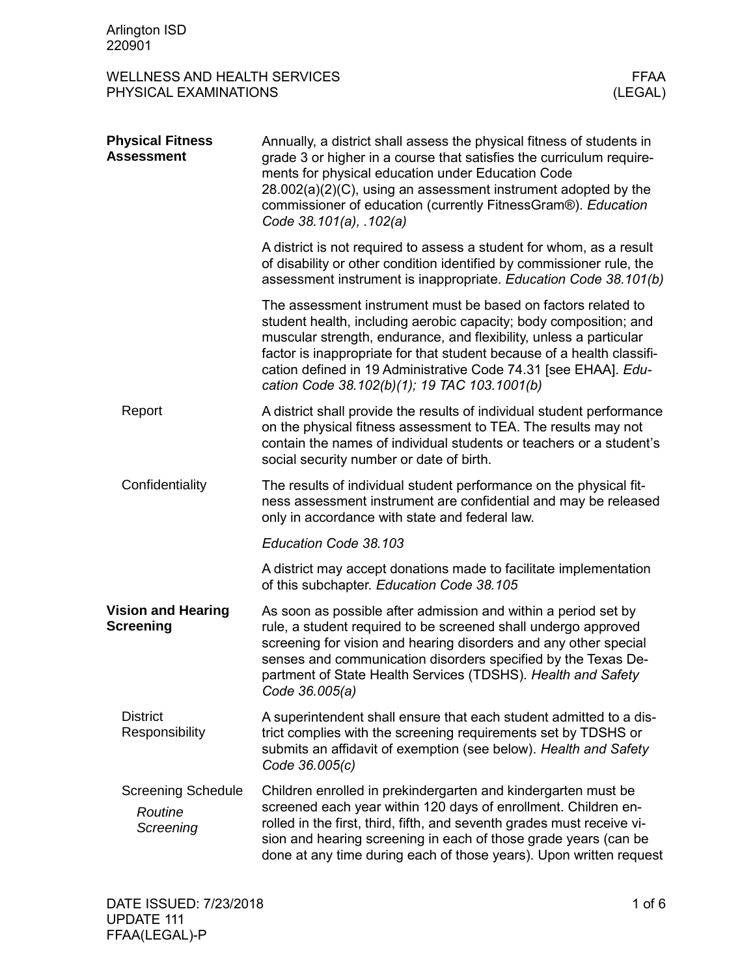| <b>WELLNESS AND HEALTH SERVICES</b><br>PHYSICAL EXAMINATIONS |                                                                                                                                                                                                                                                                                                                                                                                                       | <b>FFAA</b><br>(LEGAL) |
|--------------------------------------------------------------|-------------------------------------------------------------------------------------------------------------------------------------------------------------------------------------------------------------------------------------------------------------------------------------------------------------------------------------------------------------------------------------------------------|------------------------|
| <b>Physical Fitness</b><br><b>Assessment</b>                 | Annually, a district shall assess the physical fitness of students in<br>grade 3 or higher in a course that satisfies the curriculum require-<br>ments for physical education under Education Code<br>28.002(a)(2)(C), using an assessment instrument adopted by the<br>commissioner of education (currently FitnessGram®). Education<br>Code 38.101(a), .102(a)                                      |                        |
|                                                              | A district is not required to assess a student for whom, as a result<br>of disability or other condition identified by commissioner rule, the<br>assessment instrument is inappropriate. Education Code 38.101(b)                                                                                                                                                                                     |                        |
|                                                              | The assessment instrument must be based on factors related to<br>student health, including aerobic capacity; body composition; and<br>muscular strength, endurance, and flexibility, unless a particular<br>factor is inappropriate for that student because of a health classifi-<br>cation defined in 19 Administrative Code 74.31 [see EHAA]. Edu-<br>cation Code 38.102(b)(1); 19 TAC 103.1001(b) |                        |
| Report                                                       | A district shall provide the results of individual student performance<br>on the physical fitness assessment to TEA. The results may not<br>contain the names of individual students or teachers or a student's<br>social security number or date of birth.                                                                                                                                           |                        |
| Confidentiality                                              | The results of individual student performance on the physical fit-<br>ness assessment instrument are confidential and may be released<br>only in accordance with state and federal law.                                                                                                                                                                                                               |                        |
|                                                              | Education Code 38.103                                                                                                                                                                                                                                                                                                                                                                                 |                        |
|                                                              | A district may accept donations made to facilitate implementation<br>of this subchapter. Education Code 38.105                                                                                                                                                                                                                                                                                        |                        |
| <b>Vision and Hearing</b><br><b>Screening</b>                | As soon as possible after admission and within a period set by<br>rule, a student required to be screened shall undergo approved<br>screening for vision and hearing disorders and any other special<br>senses and communication disorders specified by the Texas De-<br>partment of State Health Services (TDSHS). Health and Safety<br>Code 36.005(a)                                               |                        |
| <b>District</b><br>Responsibility                            | A superintendent shall ensure that each student admitted to a dis-<br>trict complies with the screening requirements set by TDSHS or<br>submits an affidavit of exemption (see below). Health and Safety<br>Code 36.005(c)                                                                                                                                                                            |                        |
| <b>Screening Schedule</b><br>Routine<br>Screening            | Children enrolled in prekindergarten and kindergarten must be<br>screened each year within 120 days of enrollment. Children en-<br>rolled in the first, third, fifth, and seventh grades must receive vi-<br>sion and hearing screening in each of those grade years (can be<br>done at any time during each of those years). Upon written request                                                    |                        |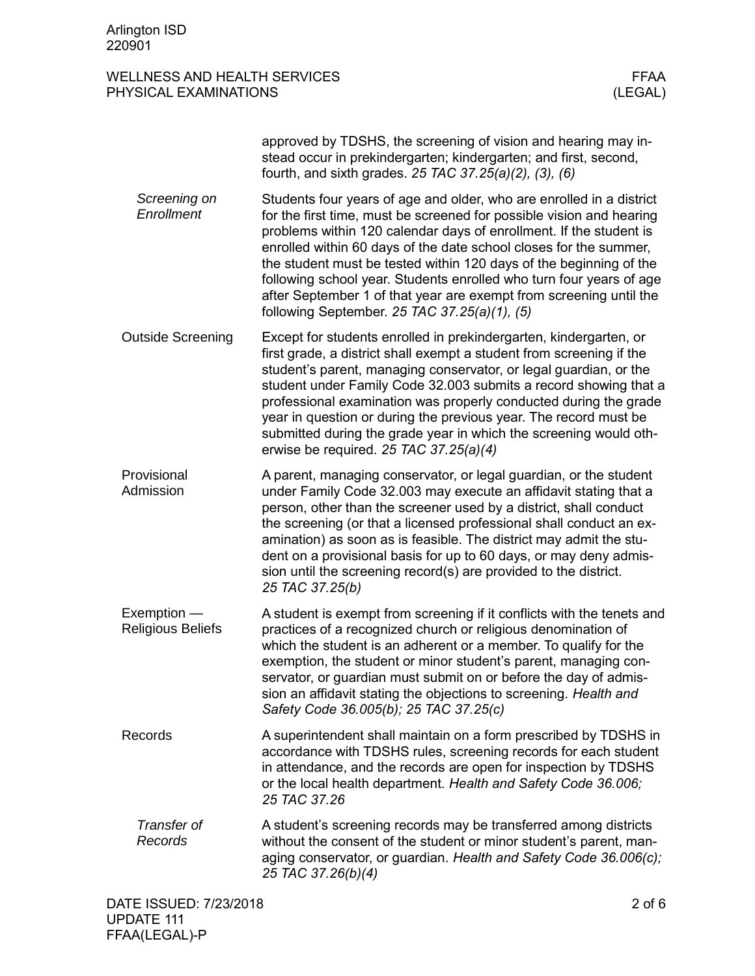|                                  | approved by TDSHS, the screening of vision and hearing may in-<br>stead occur in prekindergarten; kindergarten; and first, second,<br>fourth, and sixth grades. 25 TAC 37.25(a)(2), (3), (6)                                                                                                                                                                                                                                                                                                                                                               |
|----------------------------------|------------------------------------------------------------------------------------------------------------------------------------------------------------------------------------------------------------------------------------------------------------------------------------------------------------------------------------------------------------------------------------------------------------------------------------------------------------------------------------------------------------------------------------------------------------|
| Screening on<br>Enrollment       | Students four years of age and older, who are enrolled in a district<br>for the first time, must be screened for possible vision and hearing<br>problems within 120 calendar days of enrollment. If the student is<br>enrolled within 60 days of the date school closes for the summer,<br>the student must be tested within 120 days of the beginning of the<br>following school year. Students enrolled who turn four years of age<br>after September 1 of that year are exempt from screening until the<br>following September. 25 TAC 37.25(a)(1), (5) |
| <b>Outside Screening</b>         | Except for students enrolled in prekindergarten, kindergarten, or<br>first grade, a district shall exempt a student from screening if the<br>student's parent, managing conservator, or legal guardian, or the<br>student under Family Code 32.003 submits a record showing that a<br>professional examination was properly conducted during the grade<br>year in question or during the previous year. The record must be<br>submitted during the grade year in which the screening would oth-<br>erwise be required. 25 TAC 37.25(a)(4)                  |
| Provisional<br>Admission         | A parent, managing conservator, or legal guardian, or the student<br>under Family Code 32.003 may execute an affidavit stating that a<br>person, other than the screener used by a district, shall conduct<br>the screening (or that a licensed professional shall conduct an ex-<br>amination) as soon as is feasible. The district may admit the stu-<br>dent on a provisional basis for up to 60 days, or may deny admis-<br>sion until the screening record(s) are provided to the district.<br>25 TAC 37.25(b)                                        |
| Exemption -<br>Religious Beliefs | A student is exempt from screening if it conflicts with the tenets and<br>practices of a recognized church or religious denomination of<br>which the student is an adherent or a member. To qualify for the<br>exemption, the student or minor student's parent, managing con-<br>servator, or guardian must submit on or before the day of admis-<br>sion an affidavit stating the objections to screening. Health and<br>Safety Code 36.005(b); 25 TAC 37.25(c)                                                                                          |
| Records                          | A superintendent shall maintain on a form prescribed by TDSHS in<br>accordance with TDSHS rules, screening records for each student<br>in attendance, and the records are open for inspection by TDSHS<br>or the local health department. Health and Safety Code 36.006;<br>25 TAC 37.26                                                                                                                                                                                                                                                                   |
| Transfer of<br>Records           | A student's screening records may be transferred among districts<br>without the consent of the student or minor student's parent, man-<br>aging conservator, or guardian. Health and Safety Code 36.006(c);<br>25 TAC 37.26(b)(4)                                                                                                                                                                                                                                                                                                                          |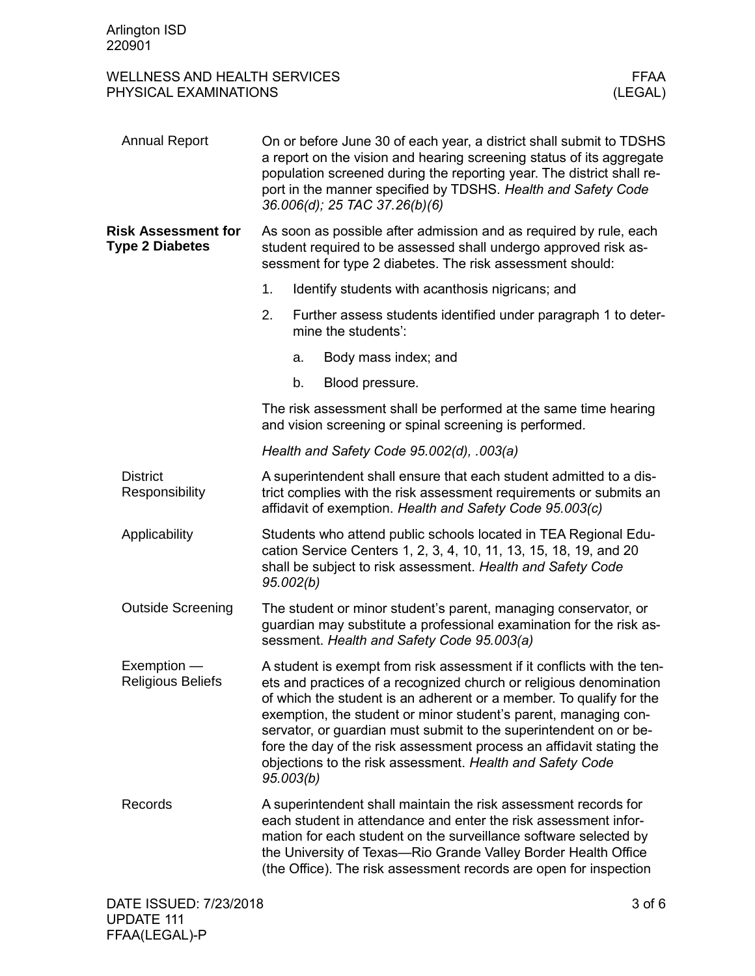| <b>Annual Report</b>                                 | On or before June 30 of each year, a district shall submit to TDSHS<br>a report on the vision and hearing screening status of its aggregate<br>population screened during the reporting year. The district shall re-<br>port in the manner specified by TDSHS. Health and Safety Code<br>36.006(d); 25 TAC 37.26(b)(6)                                                                                                                                                                                        |                                                                                                                                                                                                                                                                                                                                               |
|------------------------------------------------------|---------------------------------------------------------------------------------------------------------------------------------------------------------------------------------------------------------------------------------------------------------------------------------------------------------------------------------------------------------------------------------------------------------------------------------------------------------------------------------------------------------------|-----------------------------------------------------------------------------------------------------------------------------------------------------------------------------------------------------------------------------------------------------------------------------------------------------------------------------------------------|
| <b>Risk Assessment for</b><br><b>Type 2 Diabetes</b> |                                                                                                                                                                                                                                                                                                                                                                                                                                                                                                               | As soon as possible after admission and as required by rule, each<br>student required to be assessed shall undergo approved risk as-<br>sessment for type 2 diabetes. The risk assessment should:                                                                                                                                             |
|                                                      | 1.                                                                                                                                                                                                                                                                                                                                                                                                                                                                                                            | Identify students with acanthosis nigricans; and                                                                                                                                                                                                                                                                                              |
|                                                      | 2.                                                                                                                                                                                                                                                                                                                                                                                                                                                                                                            | Further assess students identified under paragraph 1 to deter-<br>mine the students':                                                                                                                                                                                                                                                         |
|                                                      | a.                                                                                                                                                                                                                                                                                                                                                                                                                                                                                                            | Body mass index; and                                                                                                                                                                                                                                                                                                                          |
|                                                      | b.                                                                                                                                                                                                                                                                                                                                                                                                                                                                                                            | Blood pressure.                                                                                                                                                                                                                                                                                                                               |
|                                                      |                                                                                                                                                                                                                                                                                                                                                                                                                                                                                                               | The risk assessment shall be performed at the same time hearing<br>and vision screening or spinal screening is performed.                                                                                                                                                                                                                     |
|                                                      |                                                                                                                                                                                                                                                                                                                                                                                                                                                                                                               | Health and Safety Code 95.002(d), .003(a)                                                                                                                                                                                                                                                                                                     |
| <b>District</b><br>Responsibility                    | A superintendent shall ensure that each student admitted to a dis-<br>trict complies with the risk assessment requirements or submits an<br>affidavit of exemption. Health and Safety Code 95.003(c)                                                                                                                                                                                                                                                                                                          |                                                                                                                                                                                                                                                                                                                                               |
| Applicability                                        | Students who attend public schools located in TEA Regional Edu-<br>cation Service Centers 1, 2, 3, 4, 10, 11, 13, 15, 18, 19, and 20<br>shall be subject to risk assessment. Health and Safety Code<br>95.002(b)                                                                                                                                                                                                                                                                                              |                                                                                                                                                                                                                                                                                                                                               |
| <b>Outside Screening</b>                             | The student or minor student's parent, managing conservator, or<br>guardian may substitute a professional examination for the risk as-<br>sessment. Health and Safety Code 95.003(a)                                                                                                                                                                                                                                                                                                                          |                                                                                                                                                                                                                                                                                                                                               |
| Exemption -<br><b>Religious Beliefs</b>              | A student is exempt from risk assessment if it conflicts with the ten-<br>ets and practices of a recognized church or religious denomination<br>of which the student is an adherent or a member. To qualify for the<br>exemption, the student or minor student's parent, managing con-<br>servator, or guardian must submit to the superintendent on or be-<br>fore the day of the risk assessment process an affidavit stating the<br>objections to the risk assessment. Health and Safety Code<br>95.003(b) |                                                                                                                                                                                                                                                                                                                                               |
| Records                                              |                                                                                                                                                                                                                                                                                                                                                                                                                                                                                                               | A superintendent shall maintain the risk assessment records for<br>each student in attendance and enter the risk assessment infor-<br>mation for each student on the surveillance software selected by<br>the University of Texas-Rio Grande Valley Border Health Office<br>(the Office). The risk assessment records are open for inspection |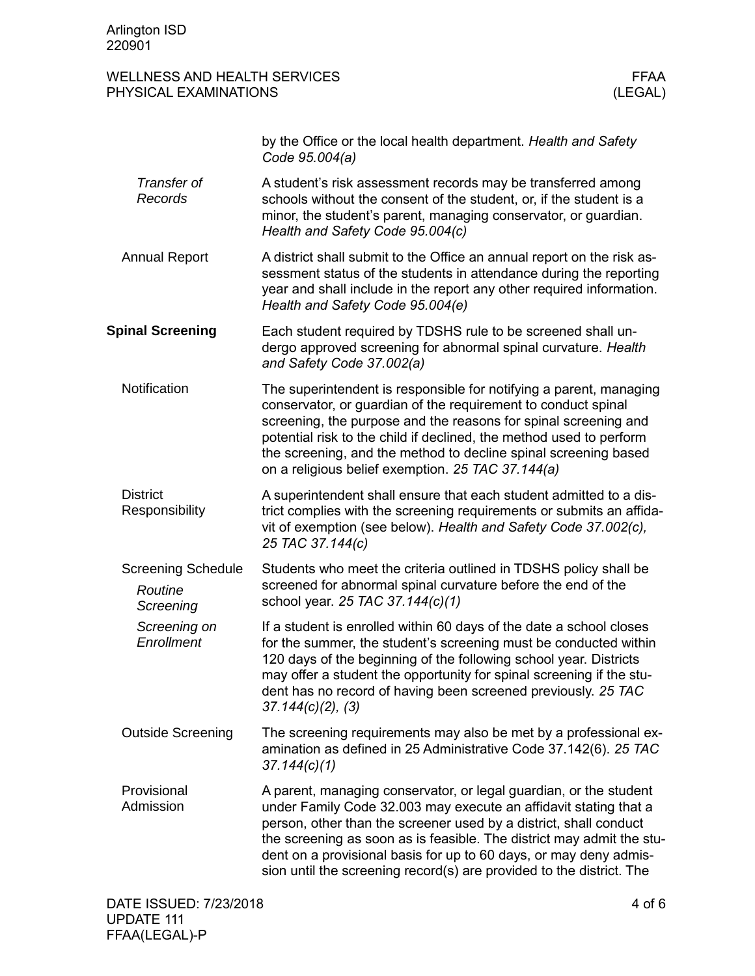|                                                   | by the Office or the local health department. Health and Safety<br>Code 95.004(a)                                                                                                                                                                                                                                                                                                                                                |
|---------------------------------------------------|----------------------------------------------------------------------------------------------------------------------------------------------------------------------------------------------------------------------------------------------------------------------------------------------------------------------------------------------------------------------------------------------------------------------------------|
| Transfer of<br>Records                            | A student's risk assessment records may be transferred among<br>schools without the consent of the student, or, if the student is a<br>minor, the student's parent, managing conservator, or guardian.<br>Health and Safety Code 95.004(c)                                                                                                                                                                                       |
| <b>Annual Report</b>                              | A district shall submit to the Office an annual report on the risk as-<br>sessment status of the students in attendance during the reporting<br>year and shall include in the report any other required information.<br>Health and Safety Code 95.004(e)                                                                                                                                                                         |
| <b>Spinal Screening</b>                           | Each student required by TDSHS rule to be screened shall un-<br>dergo approved screening for abnormal spinal curvature. Health<br>and Safety Code 37.002(a)                                                                                                                                                                                                                                                                      |
| Notification                                      | The superintendent is responsible for notifying a parent, managing<br>conservator, or guardian of the requirement to conduct spinal<br>screening, the purpose and the reasons for spinal screening and<br>potential risk to the child if declined, the method used to perform<br>the screening, and the method to decline spinal screening based<br>on a religious belief exemption. 25 TAC 37.144(a)                            |
| <b>District</b><br>Responsibility                 | A superintendent shall ensure that each student admitted to a dis-<br>trict complies with the screening requirements or submits an affida-<br>vit of exemption (see below). Health and Safety Code 37.002(c),<br>25 TAC 37.144(c)                                                                                                                                                                                                |
| <b>Screening Schedule</b><br>Routine<br>Screening | Students who meet the criteria outlined in TDSHS policy shall be<br>screened for abnormal spinal curvature before the end of the<br>school year. 25 TAC 37.144(c)(1)                                                                                                                                                                                                                                                             |
| Screening on<br>Enrollment                        | If a student is enrolled within 60 days of the date a school closes<br>for the summer, the student's screening must be conducted within<br>120 days of the beginning of the following school year. Districts<br>may offer a student the opportunity for spinal screening if the stu-<br>dent has no record of having been screened previously. 25 TAC<br>$37.144(c)(2)$ , (3)                                                    |
| <b>Outside Screening</b>                          | The screening requirements may also be met by a professional ex-<br>amination as defined in 25 Administrative Code 37.142(6). 25 TAC<br>37.144(c)(1)                                                                                                                                                                                                                                                                             |
| Provisional<br>Admission                          | A parent, managing conservator, or legal guardian, or the student<br>under Family Code 32.003 may execute an affidavit stating that a<br>person, other than the screener used by a district, shall conduct<br>the screening as soon as is feasible. The district may admit the stu-<br>dent on a provisional basis for up to 60 days, or may deny admis-<br>sion until the screening record(s) are provided to the district. The |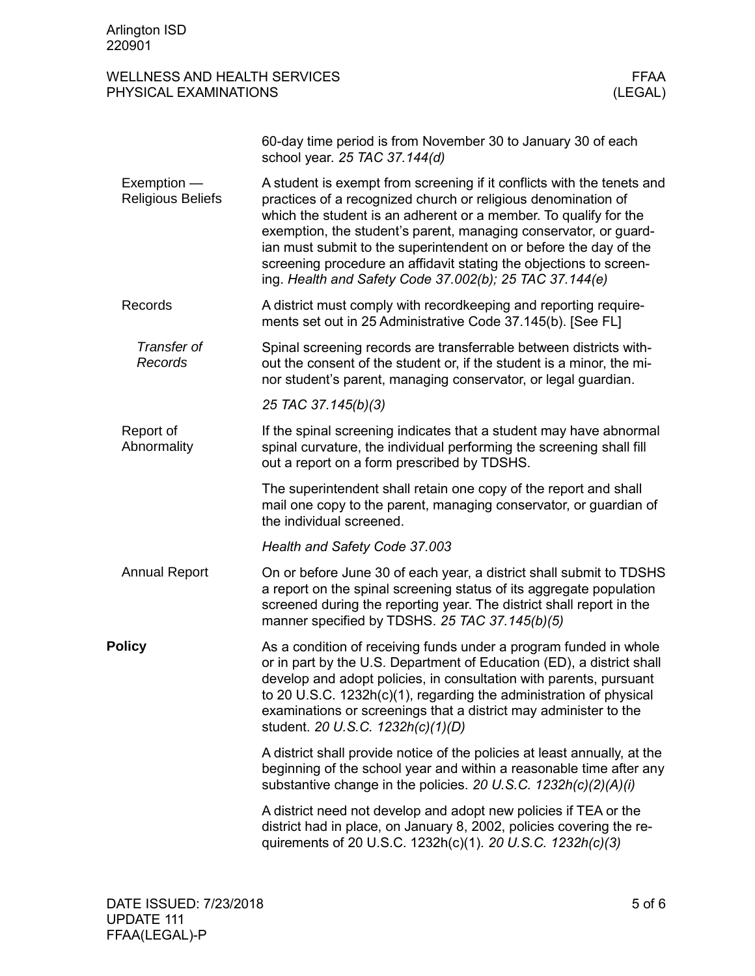| WELLNESS AND HEALTH SERVICES | FFAA    |
|------------------------------|---------|
| PHYSICAL EXAMINATIONS        | (LEGAL) |

|                                         | 60-day time period is from November 30 to January 30 of each<br>school year. 25 TAC 37.144(d)                                                                                                                                                                                                                                                                                                                                                                                         |
|-----------------------------------------|---------------------------------------------------------------------------------------------------------------------------------------------------------------------------------------------------------------------------------------------------------------------------------------------------------------------------------------------------------------------------------------------------------------------------------------------------------------------------------------|
| Exemption -<br><b>Religious Beliefs</b> | A student is exempt from screening if it conflicts with the tenets and<br>practices of a recognized church or religious denomination of<br>which the student is an adherent or a member. To qualify for the<br>exemption, the student's parent, managing conservator, or guard-<br>ian must submit to the superintendent on or before the day of the<br>screening procedure an affidavit stating the objections to screen-<br>ing. Health and Safety Code 37.002(b); 25 TAC 37.144(e) |
| Records                                 | A district must comply with recordkeeping and reporting require-<br>ments set out in 25 Administrative Code 37.145(b). [See FL]                                                                                                                                                                                                                                                                                                                                                       |
| Transfer of<br>Records                  | Spinal screening records are transferrable between districts with-<br>out the consent of the student or, if the student is a minor, the mi-<br>nor student's parent, managing conservator, or legal guardian.                                                                                                                                                                                                                                                                         |
|                                         | 25 TAC 37.145(b)(3)                                                                                                                                                                                                                                                                                                                                                                                                                                                                   |
| Report of<br>Abnormality                | If the spinal screening indicates that a student may have abnormal<br>spinal curvature, the individual performing the screening shall fill<br>out a report on a form prescribed by TDSHS.                                                                                                                                                                                                                                                                                             |
|                                         | The superintendent shall retain one copy of the report and shall<br>mail one copy to the parent, managing conservator, or guardian of<br>the individual screened.                                                                                                                                                                                                                                                                                                                     |
|                                         | Health and Safety Code 37.003                                                                                                                                                                                                                                                                                                                                                                                                                                                         |
| <b>Annual Report</b>                    | On or before June 30 of each year, a district shall submit to TDSHS<br>a report on the spinal screening status of its aggregate population<br>screened during the reporting year. The district shall report in the<br>manner specified by TDSHS. 25 TAC 37.145(b)(5)                                                                                                                                                                                                                  |
| <b>Policy</b>                           | As a condition of receiving funds under a program funded in whole<br>or in part by the U.S. Department of Education (ED), a district shall<br>develop and adopt policies, in consultation with parents, pursuant<br>to 20 U.S.C. 1232h(c)(1), regarding the administration of physical<br>examinations or screenings that a district may administer to the<br>student. 20 U.S.C. 1232h(c)(1)(D)                                                                                       |
|                                         | A district shall provide notice of the policies at least annually, at the<br>beginning of the school year and within a reasonable time after any<br>substantive change in the policies. 20 U.S.C. 1232h(c)(2)(A)(i)                                                                                                                                                                                                                                                                   |
|                                         | A district need not develop and adopt new policies if TEA or the<br>district had in place, on January 8, 2002, policies covering the re-<br>quirements of 20 U.S.C. 1232h(c)(1). 20 U.S.C. 1232h(c)(3)                                                                                                                                                                                                                                                                                |